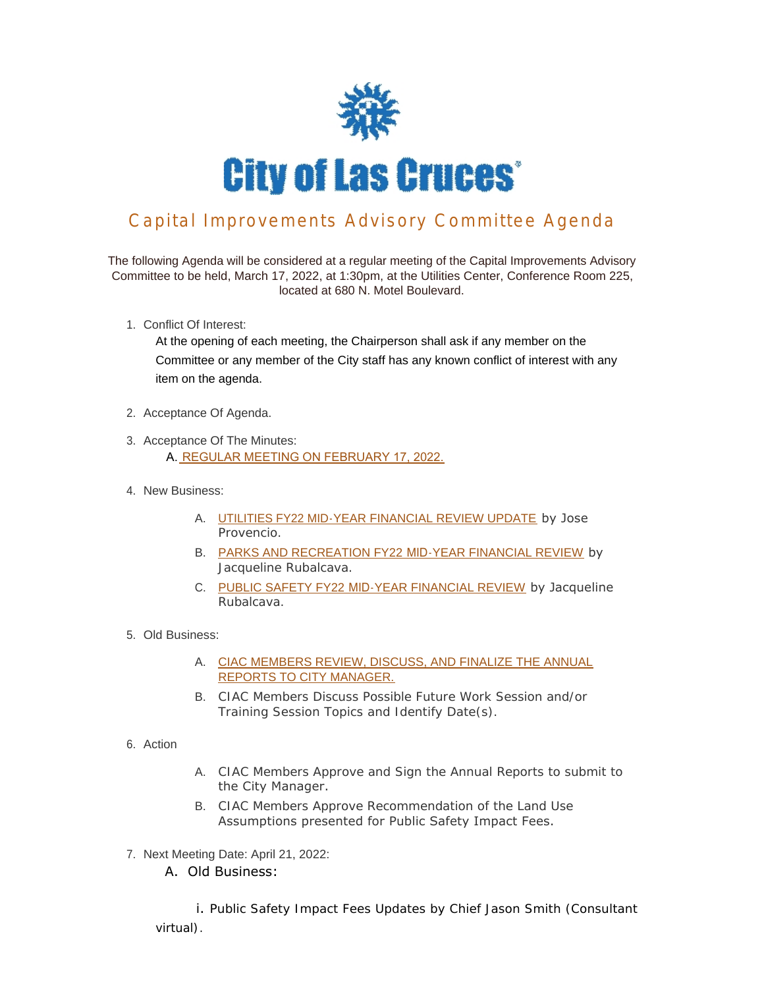

## Capital Improvements Advisory Committee Agenda

The following Agenda will be considered at a regular meeting of the Capital Improvements Advisory Committee to be held, March 17, 2022, at 1:30pm, at the Utilities Center, Conference Room 225, located at 680 N. Motel Boulevard.

1. Conflict Of Interest:

At the opening of each meeting, the Chairperson shall ask if any member on the Committee or any member of the City staff has any known conflict of interest with any item on the agenda.

- 2. Acceptance Of Agenda.
- 3. Acceptance Of The Minutes: A. [REGULAR MEETING ON FEBRUARY 17, 2022.](https://publicrecords.las-cruces.org/WebLink/DocView.aspx?id=2184369&dbid=0&repo=Live)
- 4. New Business:
	- A. [UTILITIES FY22 MID-YEAR FINANCIAL REVIEW UPDATE](https://publicrecords.las-cruces.org/WebLink/DocView.aspx?id=2184934&dbid=0&repo=Live) by Jose Provencio.
	- B. [PARKS AND RECREATION FY22](https://publicrecords.las-cruces.org/WebLink/DocView.aspx?id=2184906&dbid=0&repo=Live) MID[-YEAR FINANCIAL REVIEW](https://publicrecords.las-cruces.org/WebLink/DocView.aspx?id=2184906&dbid=0&repo=Live) by Jacqueline Rubalcava.
	- C. [PUBLIC SAFETY FY22](https://publicrecords.las-cruces.org/WebLink/DocView.aspx?id=2184907&dbid=0&repo=Live) MID[-YEAR FINANCIAL REVIEW](https://publicrecords.las-cruces.org/WebLink/DocView.aspx?id=2184907&dbid=0&repo=Live) by Jacqueline Rubalcava.
- 5. Old Business:
	- A. [CIAC MEMBERS REVIEW, DISCUSS, AND FINALIZE THE ANNUAL](https://publicrecords.las-cruces.org/WebLink/DocView.aspx?id=2184919&dbid=0&repo=Live)  REPORTS TO CITY MANAGER.
	- B. CIAC Members Discuss Possible Future Work Session and/or Training Session Topics and Identify Date(s).
- 6. Action
- A. CIAC Members Approve and Sign the Annual Reports to submit to the City Manager.
- B. CIAC Members Approve Recommendation of the Land Use Assumptions presented for Public Safety Impact Fees.
- 7. Next Meeting Date: April 21, 2022:
	- A. Old Business:

 i. Public Safety Impact Fees Updates by Chief Jason Smith (Consultant virtual).